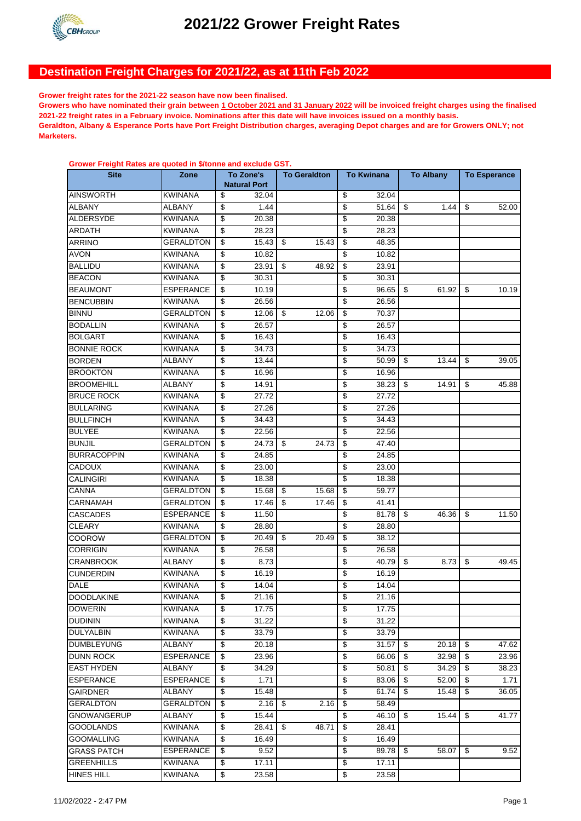

# **Destination Freight Charges for 2021/22, as at 11th Feb 2022**

**Grower freight rates for the 2021-22 season have now been finalised.** 

**Grower Freight Rates are quoted in \$/tonne and exclude GST.**

**Growers who have nominated their grain between 1 October 2021 and 31 January 2022 will be invoiced freight charges using the finalised 2021-22 freight rates in a February invoice. Nominations after this date will have invoices issued on a monthly basis. Geraldton, Albany & Esperance Ports have Port Freight Distribution charges, averaging Depot charges and are for Growers ONLY; not Marketers.**

| -------<br>uluu ulu yuvlul |                  |                                  |       |                     | To Kwinana              |       | <b>To Albany</b> |      |                     |       |
|----------------------------|------------------|----------------------------------|-------|---------------------|-------------------------|-------|------------------|------|---------------------|-------|
| <b>Site</b>                | Zone             | To Zone's<br><b>Natural Port</b> |       | <b>To Geraldton</b> |                         |       |                  |      | <b>To Esperance</b> |       |
| <b>AINSWORTH</b>           | KWINANA          | \$                               | 32.04 |                     | \$                      | 32.04 |                  |      |                     |       |
| <b>ALBANY</b>              | ALBANY           | \$                               | 1.44  |                     | \$                      | 51.64 | \$               | 1.44 | \$                  | 52.00 |
| ALDERSYDE                  | KWINANA          | \$                               | 20.38 |                     | \$                      | 20.38 |                  |      |                     |       |
| ARDATH                     | KWINANA          | \$                               | 28.23 |                     | \$                      | 28.23 |                  |      |                     |       |
| <b>ARRINO</b>              | <b>GERALDTON</b> | \$                               | 15.43 | \$<br>15.43         | \$                      | 48.35 |                  |      |                     |       |
| <b>AVON</b>                | KWINANA          | \$                               | 10.82 |                     | \$                      | 10.82 |                  |      |                     |       |
| <b>BALLIDU</b>             | KWINANA          | \$                               | 23.91 | \$<br>48.92         | \$                      | 23.91 |                  |      |                     |       |
| <b>BEACON</b>              | KWINANA          | \$                               | 30.31 |                     | \$                      | 30.31 |                  |      |                     |       |
| <b>BEAUMONT</b>            | ESPERANCE        | \$                               | 10.19 |                     | \$                      | 96.65 | \$<br>61.92      |      | \$                  | 10.19 |
| <b>BENCUBBIN</b>           | KWINANA          | \$                               | 26.56 |                     | \$                      | 26.56 |                  |      |                     |       |
| <b>BINNU</b>               | GERALDTON        | \$                               | 12.06 | \$<br>12.06         | \$                      | 70.37 |                  |      |                     |       |
| <b>BODALLIN</b>            | KWINANA          | \$                               | 26.57 |                     | \$                      | 26.57 |                  |      |                     |       |
| <b>BOLGART</b>             | KWINANA          | \$                               | 16.43 |                     | \$                      | 16.43 |                  |      |                     |       |
| <b>BONNIE ROCK</b>         | KWINANA          | \$                               | 34.73 |                     | \$                      | 34.73 |                  |      |                     |       |
| <b>BORDEN</b>              | <b>ALBANY</b>    | \$                               | 13.44 |                     | \$                      | 50.99 | \$<br>13.44      |      | \$                  | 39.05 |
| <b>BROOKTON</b>            | <b>KWINANA</b>   | \$                               | 16.96 |                     | \$                      | 16.96 |                  |      |                     |       |
| <b>BROOMEHILL</b>          | <b>ALBANY</b>    | \$                               | 14.91 |                     | \$                      | 38.23 | \$<br>14.91      |      | \$                  | 45.88 |
| <b>BRUCE ROCK</b>          | <b>KWINANA</b>   | \$                               | 27.72 |                     | \$                      | 27.72 |                  |      |                     |       |
| <b>BULLARING</b>           | <b>KWINANA</b>   | \$                               | 27.26 |                     | \$                      | 27.26 |                  |      |                     |       |
| <b>BULLFINCH</b>           | <b>KWINANA</b>   | \$                               | 34.43 |                     | \$                      | 34.43 |                  |      |                     |       |
| <b>BULYEE</b>              | <b>KWINANA</b>   | \$                               | 22.56 |                     | \$                      | 22.56 |                  |      |                     |       |
| <b>BUNJIL</b>              | <b>GERALDTON</b> | \$                               | 24.73 | \$<br>24.73         | \$                      | 47.40 |                  |      |                     |       |
| <b>BURRACOPPIN</b>         | KWINANA          | \$                               | 24.85 |                     | \$                      | 24.85 |                  |      |                     |       |
| <b>CADOUX</b>              | <b>KWINANA</b>   | \$                               | 23.00 |                     | \$                      | 23.00 |                  |      |                     |       |
| <b>CALINGIRI</b>           | <b>KWINANA</b>   | \$                               | 18.38 |                     | \$                      | 18.38 |                  |      |                     |       |
| CANNA                      | <b>GERALDTON</b> | \$                               | 15.68 | \$<br>15.68         | \$                      | 59.77 |                  |      |                     |       |
| CARNAMAH                   | <b>GERALDTON</b> | \$                               | 17.46 | \$<br>17.46         | \$                      | 41.41 |                  |      |                     |       |
| <b>CASCADES</b>            | <b>ESPERANCE</b> | \$                               | 11.50 |                     | \$                      | 81.78 | \$<br>46.36      |      | \$                  | 11.50 |
| <b>CLEARY</b>              | <b>KWINANA</b>   | \$                               | 28.80 |                     | \$                      | 28.80 |                  |      |                     |       |
| <b>COOROW</b>              | <b>GERALDTON</b> | \$                               | 20.49 | \$<br>20.49         | \$                      | 38.12 |                  |      |                     |       |
| <b>CORRIGIN</b>            | <b>KWINANA</b>   | \$                               | 26.58 |                     | \$                      | 26.58 |                  |      |                     |       |
| <b>CRANBROOK</b>           | <b>ALBANY</b>    | \$                               | 8.73  |                     | \$                      | 40.79 | \$               | 8.73 | \$                  | 49.45 |
| <b>CUNDERDIN</b>           | <b>KWINANA</b>   | \$                               | 16.19 |                     | \$                      | 16.19 |                  |      |                     |       |
| DALE                       | KWINANA          | \$                               | 14.04 |                     | \$                      | 14.04 |                  |      |                     |       |
| <b>DOODLAKINE</b>          | KWINANA          | \$                               | 21.16 |                     | \$                      | 21.16 |                  |      |                     |       |
| <b>DOWERIN</b>             | <b>KWINANA</b>   | \$                               | 17.75 |                     | \$                      | 17.75 |                  |      |                     |       |
| <b>DUDININ</b>             | KWINANA          | \$                               | 31.22 |                     | \$                      | 31.22 |                  |      |                     |       |
| <b>DULYALBIN</b>           | KWINANA          | \$                               | 33.79 |                     | \$                      | 33.79 |                  |      |                     |       |
| <b>DUMBLEYUNG</b>          | ALBANY           | \$                               | 20.18 |                     | \$                      | 31.57 | \$<br>20.18      |      | \$                  | 47.62 |
| <b>DUNN ROCK</b>           | <b>ESPERANCE</b> | \$                               | 23.96 |                     | \$                      | 66.06 | \$<br>32.98      |      | \$                  | 23.96 |
| <b>EAST HYDEN</b>          | ALBANY           | \$                               | 34.29 |                     | \$                      | 50.81 | \$<br>34.29      |      | \$                  | 38.23 |
| <b>ESPERANCE</b>           | <b>ESPERANCE</b> | \$                               | 1.71  |                     | \$                      | 83.06 | \$<br>52.00      |      | \$                  | 1.71  |
| <b>GAIRDNER</b>            | ALBANY           | \$                               | 15.48 |                     | \$                      | 61.74 | \$<br>15.48      |      | \$                  | 36.05 |
| <b>GERALDTON</b>           | GERALDTON        | \$                               | 2.16  | \$<br>2.16          | \$                      | 58.49 |                  |      |                     |       |
| <b>GNOWANGERUP</b>         | ALBANY           | \$                               | 15.44 |                     | \$                      | 46.10 | \$<br>15.44      |      | \$                  | 41.77 |
| <b>GOODLANDS</b>           | <b>KWINANA</b>   | \$                               | 28.41 | \$<br>48.71         | \$                      | 28.41 |                  |      |                     |       |
| <b>GOOMALLING</b>          | <b>KWINANA</b>   | \$                               | 16.49 |                     | \$                      | 16.49 |                  |      |                     |       |
| <b>GRASS PATCH</b>         | <b>ESPERANCE</b> | \$                               | 9.52  |                     | $\overline{\mathbf{e}}$ | 89.78 | \$<br>58.07      |      | \$                  | 9.52  |
| <b>GREENHILLS</b>          | KWINANA          | \$                               | 17.11 |                     | $\overline{\mathbf{e}}$ | 17.11 |                  |      |                     |       |
| <b>HINES HILL</b>          | <b>KWINANA</b>   | \$                               | 23.58 |                     | \$                      | 23.58 |                  |      |                     |       |
|                            |                  |                                  |       |                     |                         |       |                  |      |                     |       |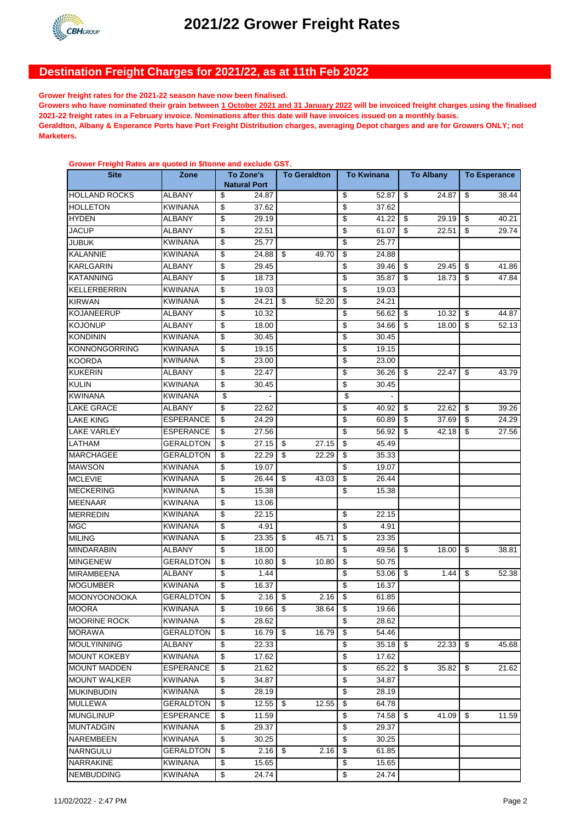

# **Destination Freight Charges for 2021/22, as at 11th Feb 2022**

**Grower freight rates for the 2021-22 season have now been finalised.** 

**Growers who have nominated their grain between 1 October 2021 and 31 January 2022 will be invoiced freight charges using the finalised 2021-22 freight rates in a February invoice. Nominations after this date will have invoices issued on a monthly basis. Geraldton, Albany & Esperance Ports have Port Freight Distribution charges, averaging Depot charges and are for Growers ONLY; not Marketers.**

| <u>Olower Freight Nates are quoted in wronne and exclude Oo H</u><br><b>Site</b> | Zone             | To Zone's<br><b>Natural Port</b> |       | <b>To Geraldton</b> | <b>To Kwinana</b> |       | <b>To Albany</b> |       | <b>To Esperance</b> |       |
|----------------------------------------------------------------------------------|------------------|----------------------------------|-------|---------------------|-------------------|-------|------------------|-------|---------------------|-------|
|                                                                                  |                  |                                  |       |                     |                   |       |                  |       |                     |       |
| <b>HOLLAND ROCKS</b>                                                             | <b>ALBANY</b>    | \$                               | 24.87 |                     | \$                | 52.87 | \$               | 24.87 | \$                  | 38.44 |
| <b>HOLLETON</b>                                                                  | <b>KWINANA</b>   | \$                               | 37.62 |                     | \$                | 37.62 |                  |       |                     |       |
| <b>HYDEN</b>                                                                     | <b>ALBANY</b>    | \$                               | 29.19 |                     | \$                | 41.22 | \$               | 29.19 | \$                  | 40.21 |
| <b>JACUP</b>                                                                     | <b>ALBANY</b>    | \$                               | 22.51 |                     | \$                | 61.07 | \$               | 22.51 | \$                  | 29.74 |
| <b>JUBUK</b>                                                                     | <b>KWINANA</b>   | \$                               | 25.77 |                     | \$                | 25.77 |                  |       |                     |       |
| <b>KALANNIE</b>                                                                  | <b>KWINANA</b>   | \$                               | 24.88 | \$<br>49.70         | \$                | 24.88 |                  |       |                     |       |
| <b>KARLGARIN</b>                                                                 | ALBANY           | \$                               | 29.45 |                     | \$                | 39.46 | \$               | 29.45 | \$                  | 41.86 |
| <b>KATANNING</b>                                                                 | ALBANY           | \$                               | 18.73 |                     | \$                | 35.87 | \$               | 18.73 | \$                  | 47.84 |
| <b>KELLERBERRIN</b>                                                              | <b>KWINANA</b>   | \$                               | 19.03 |                     | \$                | 19.03 |                  |       |                     |       |
| <b>KIRWAN</b>                                                                    | KWINANA          | \$                               | 24.21 | \$<br>52.20         | \$                | 24.21 |                  |       |                     |       |
| <b>KOJANEERUP</b>                                                                | ALBANY           | \$                               | 10.32 |                     | \$                | 56.62 | \$               | 10.32 | \$                  | 44.87 |
| <b>KOJONUP</b>                                                                   | ALBANY           | \$                               | 18.00 |                     | \$                | 34.66 | \$               | 18.00 | \$                  | 52.13 |
| <b>KONDININ</b>                                                                  | <b>KWINANA</b>   | \$                               | 30.45 |                     | \$                | 30.45 |                  |       |                     |       |
| <b>KONNONGORRING</b>                                                             | <b>KWINANA</b>   | \$                               | 19.15 |                     | \$                | 19.15 |                  |       |                     |       |
| <b>KOORDA</b>                                                                    | <b>KWINANA</b>   | \$                               | 23.00 |                     | \$                | 23.00 |                  |       |                     |       |
| <b>KUKERIN</b>                                                                   | <b>ALBANY</b>    | \$                               | 22.47 |                     | \$                | 36.26 | \$               | 22.47 | \$                  | 43.79 |
| <b>KULIN</b>                                                                     | <b>KWINANA</b>   | \$                               | 30.45 |                     | \$                | 30.45 |                  |       |                     |       |
| <b>KWINANA</b>                                                                   | <b>KWINANA</b>   | \$                               |       |                     | \$                |       |                  |       |                     |       |
| <b>LAKE GRACE</b>                                                                | <b>ALBANY</b>    | \$                               | 22.62 |                     | \$                | 40.92 | \$               | 22.62 | \$                  | 39.26 |
| <b>LAKE KING</b>                                                                 | <b>ESPERANCE</b> | \$                               | 24.29 |                     | \$                | 60.89 | \$               | 37.69 | \$                  | 24.29 |
| <b>LAKE VARLEY</b>                                                               | <b>ESPERANCE</b> | \$                               | 27.56 |                     | \$                | 56.92 | \$               | 42.18 | \$                  | 27.56 |
| <b>LATHAM</b>                                                                    | <b>GERALDTON</b> | \$                               | 27.15 | \$<br>27.15         | \$                | 45.49 |                  |       |                     |       |
| <b>MARCHAGEE</b>                                                                 | GERALDTON        | \$                               | 22.29 | \$<br>22.29         | \$                | 35.33 |                  |       |                     |       |
| <b>MAWSON</b>                                                                    | <b>KWINANA</b>   | \$                               | 19.07 |                     | \$                | 19.07 |                  |       |                     |       |
| <b>MCLEVIE</b>                                                                   | <b>KWINANA</b>   | \$                               | 26.44 | \$<br>43.03         | \$                | 26.44 |                  |       |                     |       |
| <b>MECKERING</b>                                                                 | <b>KWINANA</b>   | \$                               | 15.38 |                     | \$                | 15.38 |                  |       |                     |       |
| <b>MEENAAR</b>                                                                   | <b>KWINANA</b>   | \$                               | 13.06 |                     |                   |       |                  |       |                     |       |
| <b>MERREDIN</b>                                                                  | <b>KWINANA</b>   | \$                               | 22.15 |                     | \$                | 22.15 |                  |       |                     |       |
| <b>MGC</b>                                                                       | <b>KWINANA</b>   | \$                               | 4.91  |                     | \$                | 4.91  |                  |       |                     |       |
| <b>MILING</b>                                                                    | <b>KWINANA</b>   | \$                               | 23.35 | \$<br>45.71         | \$                | 23.35 |                  |       |                     |       |
| <b>MINDARABIN</b>                                                                | ALBANY           | \$                               | 18.00 |                     | \$                | 49.56 | \$               | 18.00 | \$                  | 38.81 |
| <b>MINGENEW</b>                                                                  | GERALDTON        | \$                               | 10.80 | \$<br>10.80         | \$                | 50.75 |                  |       |                     |       |
| <b>MIRAMBEENA</b>                                                                | ALBANY           | \$                               | 1.44  |                     | \$                | 53.06 | \$               | 1.44  | \$                  | 52.38 |
| <b>MOGUMBER</b>                                                                  | <b>KWINANA</b>   | \$                               | 16.37 |                     | \$                | 16.37 |                  |       |                     |       |
| <b>MOONYOONOOKA</b>                                                              | GERALDTON        | \$                               | 2.16  | \$<br>2.16          | \$                | 61.85 |                  |       |                     |       |
| <b>MOORA</b>                                                                     | <b>KWINANA</b>   | \$                               | 19.66 | \$<br>38.64         | \$                | 19.66 |                  |       |                     |       |
| <b>MOORINE ROCK</b>                                                              | <b>KWINANA</b>   | \$                               | 28.62 |                     | \$                | 28.62 |                  |       |                     |       |
| <b>MORAWA</b>                                                                    | <b>GERALDTON</b> | \$                               | 16.79 | \$<br>16.79         | \$                | 54.46 |                  |       |                     |       |
| <b>MOULYINNING</b>                                                               | ALBANY           | \$                               | 22.33 |                     | \$                | 35.18 | - \$             | 22.33 | \$                  | 45.68 |
| <b>MOUNT KOKEBY</b>                                                              | <b>KWINANA</b>   | \$                               | 17.62 |                     | \$                | 17.62 |                  |       |                     |       |
| <b>MOUNT MADDEN</b>                                                              | <b>ESPERANCE</b> | \$                               | 21.62 |                     | \$                | 65.22 | \$               | 35.82 | \$                  | 21.62 |
| <b>MOUNT WALKER</b>                                                              | <b>KWINANA</b>   | \$                               | 34.87 |                     | \$                | 34.87 |                  |       |                     |       |
| <b>MUKINBUDIN</b>                                                                | KWINANA          | \$                               | 28.19 |                     | \$                | 28.19 |                  |       |                     |       |
| <b>MULLEWA</b>                                                                   | GERALDTON        | \$                               | 12.55 | \$<br>12.55         | \$                | 64.78 |                  |       |                     |       |
| <b>MUNGLINUP</b>                                                                 | ESPERANCE        | \$                               | 11.59 |                     | \$                | 74.58 | \$               | 41.09 | \$                  | 11.59 |
| <b>MUNTADGIN</b>                                                                 | KWINANA          | \$                               | 29.37 |                     | \$                | 29.37 |                  |       |                     |       |
| NAREMBEEN                                                                        | KWINANA          | \$                               | 30.25 |                     | \$                | 30.25 |                  |       |                     |       |
| <b>NARNGULU</b>                                                                  | GERALDTON        | \$                               | 2.16  | \$<br>2.16          | \$                | 61.85 |                  |       |                     |       |
| <b>NARRAKINE</b>                                                                 | <b>KWINANA</b>   | \$                               | 15.65 |                     | \$                | 15.65 |                  |       |                     |       |
| <b>NEMBUDDING</b>                                                                | <b>KWINANA</b>   | $\overline{\mathbf{e}}$          | 24.74 |                     | \$                | 24.74 |                  |       |                     |       |

### **Grower Freight Rates are quoted in \$/tonne and exclude GST.**